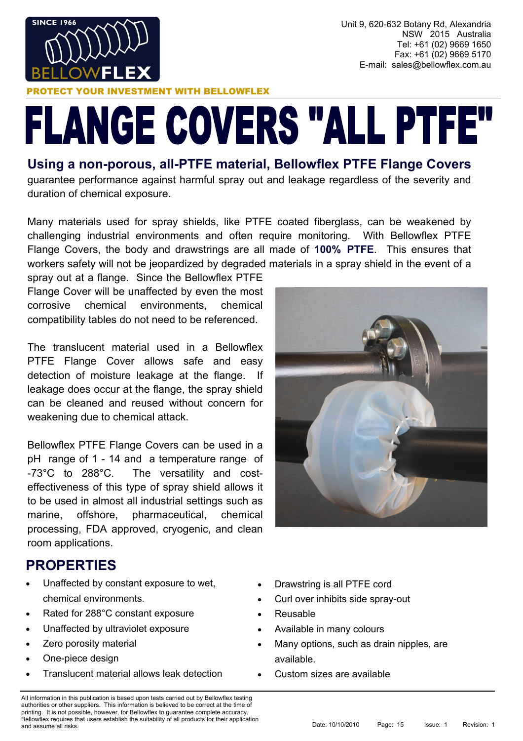

Unit 9, 620-632 Botany Rd, Alexandria NSW 2015 Australia Tel: +61 (02) 9669 1650 Fax: +61 (02) 9669 5170 E-mail: sales@bellowflex.com.au

#### **ESTMENT WITH BELLOWFLEX**

# **FLANGE COVERS "ALL PTFE"**

#### **Using a non-porous, all-PTFE material, Bellowflex PTFE Flange Covers**

guarantee performance against harmful spray out and leakage regardless of the severity and duration of chemical exposure.

Many materials used for spray shields, like PTFE coated fiberglass, can be weakened by challenging industrial environments and often require monitoring. With Bellowflex PTFE Flange Covers, the body and drawstrings are all made of **100% PTFE**. This ensures that workers safety will not be jeopardized by degraded materials in a spray shield in the event of a

spray out at a flange. Since the Bellowflex PTFE Flange Cover will be unaffected by even the most corrosive chemical environments, chemical compatibility tables do not need to be referenced.

The translucent material used in a Bellowflex PTFE Flange Cover allows safe and easy detection of moisture leakage at the flange. If leakage does occur at the flange, the spray shield can be cleaned and reused without concern for weakening due to chemical attack.

Bellowflex PTFE Flange Covers can be used in a pH range of 1 - 14 and a temperature range of -73°C to 288°C. The versatility and costeffectiveness of this type of spray shield allows it to be used in almost all industrial settings such as marine, offshore, pharmaceutical, chemical processing, FDA approved, cryogenic, and clean room applications.



### **PROPERTIES**

- Unaffected by constant exposure to wet, chemical environments.
- Rated for 288°C constant exposure
- Unaffected by ultraviolet exposure
- Zero porosity material
- One-piece design
- Translucent material allows leak detection
- Drawstring is all PTFE cord
- Curl over inhibits side spray-out
- Reusable
- Available in many colours
- Many options, such as drain nipples, are available.
- Custom sizes are available

All information in this publication is based upon tests carried out by Bellowflex testing authorities or other suppliers. This information is believed to be correct at the time of printing. It is not possible, however, for Bellowflex to guarantee complete accuracy. Bellowflex requires that users establish the suitability of all products for their application Bellowing requires that users establish the suitablity of an products for their application.<br>
Date: 10/10/2010 Page: 15 Issue: 1 Revision: 1